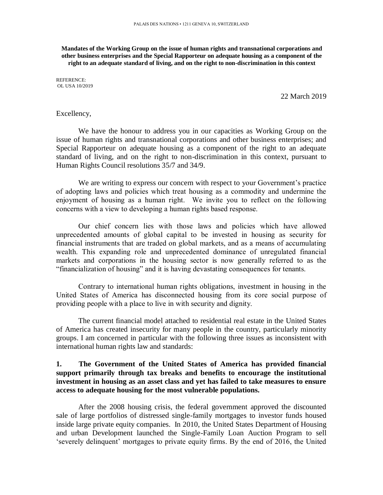**Mandates of the Working Group on the issue of human rights and transnational corporations and other business enterprises and the Special Rapporteur on adequate housing as a component of the right to an adequate standard of living, and on the right to non-discrimination in this context**

REFERENCE: OL USA 10/2019

22 March 2019

#### Excellency,

We have the honour to address you in our capacities as Working Group on the issue of human rights and transnational corporations and other business enterprises; and Special Rapporteur on adequate housing as a component of the right to an adequate standard of living, and on the right to non-discrimination in this context, pursuant to Human Rights Council resolutions 35/7 and 34/9.

We are writing to express our concern with respect to your Government's practice of adopting laws and policies which treat housing as a commodity and undermine the enjoyment of housing as a human right. We invite you to reflect on the following concerns with a view to developing a human rights based response.

Our chief concern lies with those laws and policies which have allowed unprecedented amounts of global capital to be invested in housing as security for financial instruments that are traded on global markets, and as a means of accumulating wealth. This expanding role and unprecedented dominance of unregulated financial markets and corporations in the housing sector is now generally referred to as the "financialization of housing" and it is having devastating consequences for tenants.

Contrary to international human rights obligations, investment in housing in the United States of America has disconnected housing from its core social purpose of providing people with a place to live in with security and dignity.

The current financial model attached to residential real estate in the United States of America has created insecurity for many people in the country, particularly minority groups. I am concerned in particular with the following three issues as inconsistent with international human rights law and standards:

# **1. The Government of the United States of America has provided financial support primarily through tax breaks and benefits to encourage the institutional investment in housing as an asset class and yet has failed to take measures to ensure access to adequate housing for the most vulnerable populations.**

After the 2008 housing crisis, the federal government approved the discounted sale of large portfolios of distressed single-family mortgages to investor funds housed inside large private equity companies. In 2010, the United States Department of Housing and urban Development launched the Single-Family Loan Auction Program to sell 'severely delinquent' mortgages to private equity firms. By the end of 2016, the United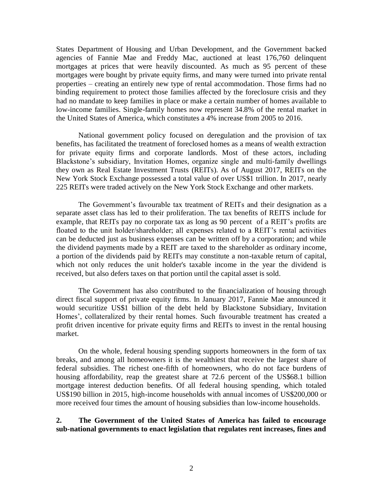States Department of Housing and Urban Development, and the Government backed agencies of Fannie Mae and Freddy Mac, auctioned at least 176,760 delinquent mortgages at prices that were heavily discounted. As much as 95 percent of these mortgages were bought by private equity firms, and many were turned into private rental properties – creating an entirely new type of rental accommodation. Those firms had no binding requirement to protect those families affected by the foreclosure crisis and they had no mandate to keep families in place or make a certain number of homes available to low-income families. Single-family homes now represent 34.8% of the rental market in the United States of America, which constitutes a 4% increase from 2005 to 2016.

National government policy focused on deregulation and the provision of tax benefits, has facilitated the treatment of foreclosed homes as a means of wealth extraction for private equity firms and corporate landlords. Most of these actors, including Blackstone's subsidiary, Invitation Homes, organize single and multi-family dwellings they own as Real Estate Investment Trusts (REITs). As of August 2017, REITs on the New York Stock Exchange possessed a total value of over US\$1 trillion. In 2017, nearly 225 REITs were traded actively on the New York Stock Exchange and other markets.

The Government's favourable tax treatment of REITs and their designation as a separate asset class has led to their proliferation. The tax benefits of REITS include for example, that REITs pay no corporate tax as long as 90 percent of a REIT's profits are floated to the unit holder/shareholder; all expenses related to a REIT's rental activities can be deducted just as business expenses can be written off by a corporation; and while the dividend payments made by a REIT are taxed to the shareholder as ordinary income, a portion of the dividends paid by REITs may constitute a non-taxable return of capital, which not only reduces the unit holder's taxable income in the year the dividend is received, but also defers taxes on that portion until the capital asset is sold.

The Government has also contributed to the financialization of housing through direct fiscal support of private equity firms. In January 2017, Fannie Mae announced it would securitize US\$1 billion of the debt held by Blackstone Subsidiary, Invitation Homes', collateralized by their rental homes. Such favourable treatment has created a profit driven incentive for private equity firms and REITs to invest in the rental housing market.

On the whole, federal housing spending supports homeowners in the form of tax breaks, and among all homeowners it is the wealthiest that receive the largest share of federal subsidies. The richest one-fifth of homeowners, who do not face burdens of housing affordability, reap the greatest share at 72.6 percent of the US\$68.1 billion mortgage interest deduction benefits. Of all federal housing spending, which totaled US\$190 billion in 2015, high-income households with annual incomes of US\$200,000 or more received four times the amount of housing subsidies than low-income households.

**2. The Government of the United States of America has failed to encourage sub-national governments to enact legislation that regulates rent increases, fines and**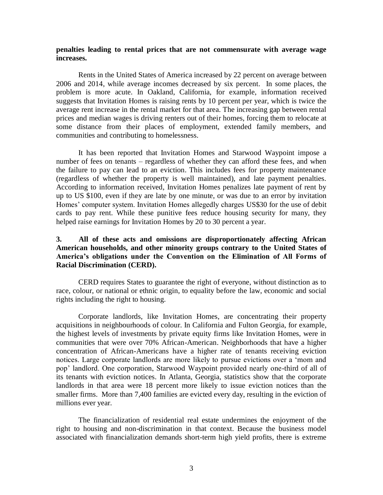### **penalties leading to rental prices that are not commensurate with average wage increases.**

Rents in the United States of America increased by 22 percent on average between 2006 and 2014, while average incomes decreased by six percent. In some places, the problem is more acute. In Oakland, California, for example, information received suggests that Invitation Homes is raising rents by 10 percent per year, which is twice the average rent increase in the rental market for that area. The increasing gap between rental prices and median wages is driving renters out of their homes, forcing them to relocate at some distance from their places of employment, extended family members, and communities and contributing to homelessness.

It has been reported that Invitation Homes and Starwood Waypoint impose a number of fees on tenants – regardless of whether they can afford these fees, and when the failure to pay can lead to an eviction. This includes fees for property maintenance (regardless of whether the property is well maintained), and late payment penalties. According to information received, Invitation Homes penalizes late payment of rent by up to US \$100, even if they are late by one minute, or was due to an error by invitation Homes' computer system. Invitation Homes allegedly charges US\$30 for the use of debit cards to pay rent. While these punitive fees reduce housing security for many, they helped raise earnings for Invitation Homes by 20 to 30 percent a year.

## **3. All of these acts and omissions are disproportionately affecting African American households, and other minority groups contrary to the United States of America's obligations under the Convention on the Elimination of All Forms of Racial Discrimination (CERD).**

CERD requires States to guarantee the right of everyone, without distinction as to race, colour, or national or ethnic origin, to equality before the law, economic and social rights including the right to housing.

Corporate landlords, like Invitation Homes, are concentrating their property acquisitions in neighbourhoods of colour. In California and Fulton Georgia, for example, the highest levels of investments by private equity firms like Invitation Homes, were in communities that were over 70% African-American. Neighborhoods that have a higher concentration of African-Americans have a higher rate of tenants receiving eviction notices. Large corporate landlords are more likely to pursue evictions over a 'mom and pop' landlord. One corporation, Starwood Waypoint provided nearly one-third of all of its tenants with eviction notices. In Atlanta, Georgia, statistics show that the corporate landlords in that area were 18 percent more likely to issue eviction notices than the smaller firms. More than 7,400 families are evicted every day, resulting in the eviction of millions ever year.

The financialization of residential real estate undermines the enjoyment of the right to housing and non-discrimination in that context. Because the business model associated with financialization demands short-term high yield profits, there is extreme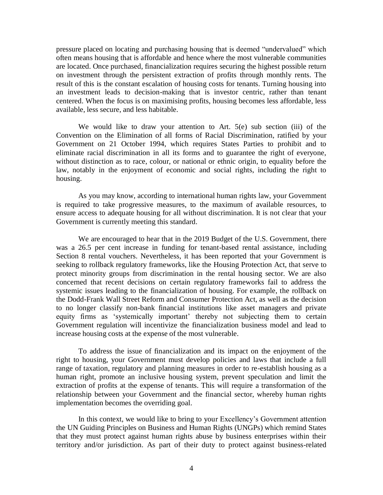pressure placed on locating and purchasing housing that is deemed "undervalued" which often means housing that is affordable and hence where the most vulnerable communities are located. Once purchased, financialization requires securing the highest possible return on investment through the persistent extraction of profits through monthly rents. The result of this is the constant escalation of housing costs for tenants. Turning housing into an investment leads to decision-making that is investor centric, rather than tenant centered. When the focus is on maximising profits, housing becomes less affordable, less available, less secure, and less habitable.

We would like to draw your attention to Art. 5(e) sub section (iii) of the Convention on the Elimination of all forms of Racial Discrimination, ratified by your Government on 21 October 1994, which requires States Parties to prohibit and to eliminate racial discrimination in all its forms and to guarantee the right of everyone, without distinction as to race, colour, or national or ethnic origin, to equality before the law, notably in the enjoyment of economic and social rights, including the right to housing.

As you may know, according to international human rights law, your Government is required to take progressive measures, to the maximum of available resources, to ensure access to adequate housing for all without discrimination. It is not clear that your Government is currently meeting this standard.

We are encouraged to hear that in the 2019 Budget of the U.S. Government, there was a 26.5 per cent increase in funding for tenant-based rental assistance, including Section 8 rental vouchers. Nevertheless, it has been reported that your Government is seeking to rollback regulatory frameworks, like the Housing Protection Act, that serve to protect minority groups from discrimination in the rental housing sector. We are also concerned that recent decisions on certain regulatory frameworks fail to address the systemic issues leading to the financialization of housing. For example, the rollback on the Dodd-Frank Wall Street Reform and Consumer Protection Act, as well as the decision to no longer classify non-bank financial institutions like asset managers and private equity firms as 'systemically important' thereby not subjecting them to certain Government regulation will incentivize the financialization business model and lead to increase housing costs at the expense of the most vulnerable.

To address the issue of financialization and its impact on the enjoyment of the right to housing, your Government must develop policies and laws that include a full range of taxation, regulatory and planning measures in order to re-establish housing as a human right, promote an inclusive housing system, prevent speculation and limit the extraction of profits at the expense of tenants. This will require a transformation of the relationship between your Government and the financial sector, whereby human rights implementation becomes the overriding goal.

In this context, we would like to bring to your Excellency's Government attention the UN Guiding Principles on Business and Human Rights (UNGPs) which remind States that they must protect against human rights abuse by business enterprises within their territory and/or jurisdiction. As part of their duty to protect against business-related